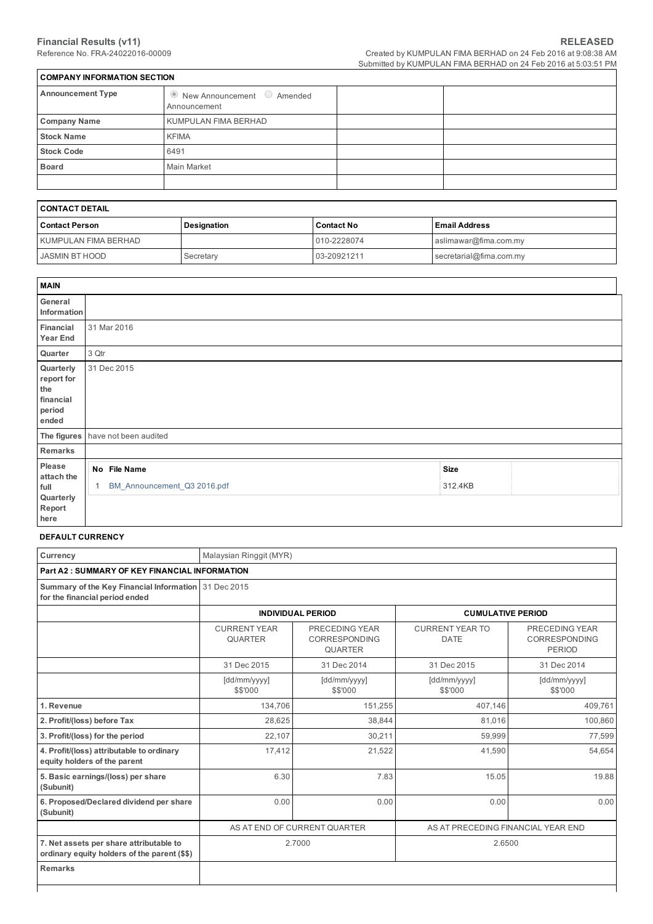| <b>COMPANY INFORMATION SECTION</b>                           |  |  |  |  |  |  |  |  |
|--------------------------------------------------------------|--|--|--|--|--|--|--|--|
| $\bullet$ New Announcement $\bullet$ Amended<br>Announcement |  |  |  |  |  |  |  |  |
| KUMPULAN FIMA BERHAD                                         |  |  |  |  |  |  |  |  |
| <b>KFIMA</b>                                                 |  |  |  |  |  |  |  |  |
| 6491                                                         |  |  |  |  |  |  |  |  |
| Main Market                                                  |  |  |  |  |  |  |  |  |
|                                                              |  |  |  |  |  |  |  |  |
|                                                              |  |  |  |  |  |  |  |  |

#### CONTACT DETAIL

| I CONTACT DETAIL     |             |                   |                         |  |  |  |  |
|----------------------|-------------|-------------------|-------------------------|--|--|--|--|
| Contact Person       | Designation | <b>Contact No</b> | <b>Email Address</b>    |  |  |  |  |
| KUMPULAN FIMA BERHAD |             | 010-2228074       | aslimawar@fima.com.my   |  |  |  |  |
| I JASMIN BT HOOD     | Secretary   | 03-20921211       | secretarial@fima.com.my |  |  |  |  |

| <b>MAIN</b>                                                    |       |                             |             |  |
|----------------------------------------------------------------|-------|-----------------------------|-------------|--|
| General<br>Information                                         |       |                             |             |  |
| Financial<br><b>Year End</b>                                   |       | 31 Mar 2016                 |             |  |
| Quarter                                                        | 3 Qtr |                             |             |  |
| Quarterly<br>report for<br>the<br>financial<br>period<br>ended |       | 31 Dec 2015                 |             |  |
| The figures                                                    |       | have not been audited       |             |  |
| Remarks                                                        |       |                             |             |  |
| Please<br>attach the                                           |       | No File Name                | <b>Size</b> |  |
| full<br>Quarterly<br>Report<br>here                            | 1     | BM_Announcement_Q3 2016.pdf | 312.4KB     |  |

#### DEFAULT CURRENCY

| Currency                                                                                | Malaysian Ringgit (MYR)                                            |                                                          |                                       |                                                  |  |  |  |  |  |
|-----------------------------------------------------------------------------------------|--------------------------------------------------------------------|----------------------------------------------------------|---------------------------------------|--------------------------------------------------|--|--|--|--|--|
| <b>Part A2: SUMMARY OF KEY FINANCIAL INFORMATION</b>                                    |                                                                    |                                                          |                                       |                                                  |  |  |  |  |  |
| Summary of the Key Financial Information 31 Dec 2015<br>for the financial period ended  |                                                                    |                                                          |                                       |                                                  |  |  |  |  |  |
|                                                                                         |                                                                    | <b>INDIVIDUAL PERIOD</b>                                 | <b>CUMULATIVE PERIOD</b>              |                                                  |  |  |  |  |  |
|                                                                                         | <b>CURRENT YEAR</b><br><b>QUARTER</b>                              | PRECEDING YEAR<br><b>CORRESPONDING</b><br><b>QUARTER</b> | <b>CURRENT YEAR TO</b><br><b>DATE</b> | PRECEDING YEAR<br>CORRESPONDING<br><b>PERIOD</b> |  |  |  |  |  |
|                                                                                         | 31 Dec 2015                                                        | 31 Dec 2014                                              | 31 Dec 2015                           | 31 Dec 2014                                      |  |  |  |  |  |
|                                                                                         | [dd/mm/yyyy]<br>\$\$'000                                           | [dd/mm/yyyy]<br>\$\$'000                                 | [dd/mm/yyyy]<br>\$\$'000              | [dd/mm/yyyy]<br>\$\$'000                         |  |  |  |  |  |
| 1. Revenue                                                                              | 134,706                                                            | 151,255                                                  | 407,146                               | 409,761                                          |  |  |  |  |  |
| 2. Profit/(loss) before Tax                                                             | 28,625                                                             | 38.844                                                   | 81,016                                | 100,860                                          |  |  |  |  |  |
| 3. Profit/(loss) for the period                                                         | 22,107                                                             | 30,211                                                   | 59,999                                | 77,599                                           |  |  |  |  |  |
| 4. Profit/(loss) attributable to ordinary<br>equity holders of the parent               | 17,412                                                             | 21,522                                                   | 41,590                                | 54,654                                           |  |  |  |  |  |
| 5. Basic earnings/(loss) per share<br>(Subunit)                                         | 6.30                                                               | 7.83                                                     | 15.05                                 | 19.88                                            |  |  |  |  |  |
| 6. Proposed/Declared dividend per share<br>(Subunit)                                    | 0.00                                                               | 0.00                                                     | 0.00                                  | 0.00                                             |  |  |  |  |  |
|                                                                                         | AS AT END OF CURRENT QUARTER<br>AS AT PRECEDING FINANCIAL YEAR END |                                                          |                                       |                                                  |  |  |  |  |  |
| 7. Net assets per share attributable to<br>ordinary equity holders of the parent (\$\$) |                                                                    | 2.7000                                                   | 2.6500                                |                                                  |  |  |  |  |  |
| <b>Remarks</b>                                                                          |                                                                    |                                                          |                                       |                                                  |  |  |  |  |  |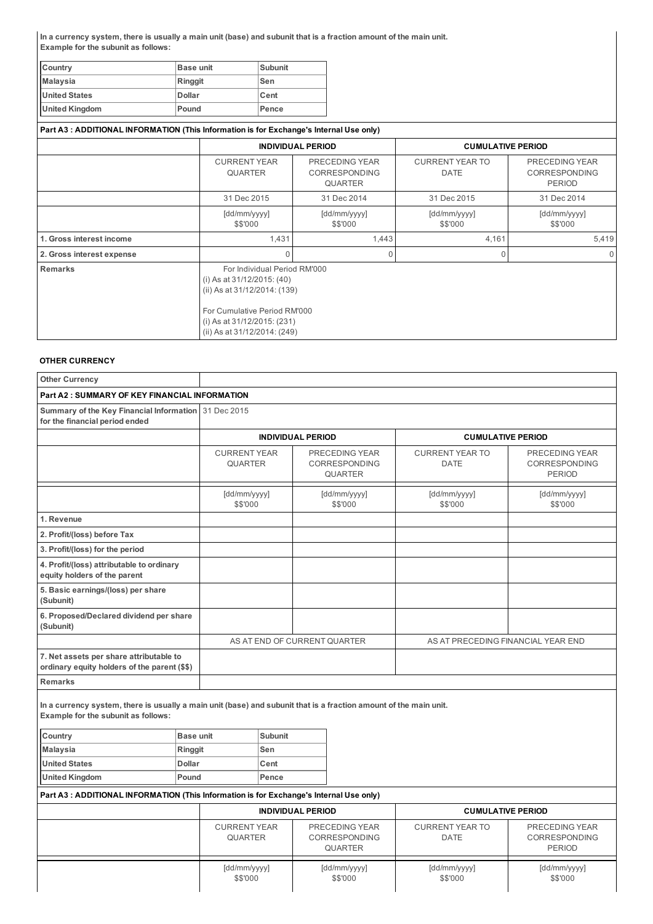In a currency system, there is usually a main unit (base) and subunit that is a fraction amount of the main unit. Example for the subunit as follows:

| Country               | <b>Base unit</b> | Subunit |
|-----------------------|------------------|---------|
| Malaysia              | Ringgit          | Sen     |
| <b>United States</b>  | <b>Dollar</b>    | Cent    |
| <b>United Kingdom</b> | Pound            | Pence   |

| Part A3 : ADDITIONAL INFORMATION (This Information is for Exchange's Internal Use only) |                                                                                                                                                                                              |                                                          |                                       |                                                         |  |
|-----------------------------------------------------------------------------------------|----------------------------------------------------------------------------------------------------------------------------------------------------------------------------------------------|----------------------------------------------------------|---------------------------------------|---------------------------------------------------------|--|
|                                                                                         |                                                                                                                                                                                              | <b>INDIVIDUAL PERIOD</b>                                 | <b>CUMULATIVE PERIOD</b>              |                                                         |  |
|                                                                                         | <b>CURRENT YEAR</b><br><b>QUARTER</b>                                                                                                                                                        | PRECEDING YEAR<br><b>CORRESPONDING</b><br><b>QUARTER</b> | <b>CURRENT YEAR TO</b><br><b>DATE</b> | PRECEDING YEAR<br><b>CORRESPONDING</b><br><b>PERIOD</b> |  |
|                                                                                         | 31 Dec 2015                                                                                                                                                                                  | 31 Dec 2014                                              | 31 Dec 2015                           | 31 Dec 2014                                             |  |
|                                                                                         | [dd/mm/yyyy]<br>\$\$'000                                                                                                                                                                     | [dd/mm/yyyy]<br>\$\$'000                                 | [dd/mm/yyyy]<br>\$\$'000              | [dd/mm/yyyy]<br>\$\$'000                                |  |
| 1. Gross interest income                                                                | 1.431                                                                                                                                                                                        | 1,443                                                    | 4,161                                 | 5,419                                                   |  |
| 2. Gross interest expense                                                               | 0                                                                                                                                                                                            |                                                          |                                       | $\Omega$                                                |  |
| <b>Remarks</b>                                                                          | For Individual Period RM'000<br>(i) As at $31/12/2015$ : (40)<br>(ii) As at 31/12/2014: (139)<br>For Cumulative Period RM'000<br>(i) As at 31/12/2015: (231)<br>(ii) As at 31/12/2014: (249) |                                                          |                                       |                                                         |  |

#### OTHER CURRENCY

| <b>Other Currency</b>                                                                                                                                    |                          |                                       |                          |                              |                                                          |                                       |                                                         |
|----------------------------------------------------------------------------------------------------------------------------------------------------------|--------------------------|---------------------------------------|--------------------------|------------------------------|----------------------------------------------------------|---------------------------------------|---------------------------------------------------------|
| Part A2: SUMMARY OF KEY FINANCIAL INFORMATION                                                                                                            |                          |                                       |                          |                              |                                                          |                                       |                                                         |
| Summary of the Key Financial Information<br>for the financial period ended                                                                               |                          | 31 Dec 2015                           |                          |                              |                                                          |                                       |                                                         |
|                                                                                                                                                          |                          |                                       | <b>INDIVIDUAL PERIOD</b> |                              |                                                          | <b>CUMULATIVE PERIOD</b>              |                                                         |
|                                                                                                                                                          |                          | <b>CURRENT YEAR</b><br><b>QUARTER</b> |                          |                              | PRECEDING YEAR<br><b>CORRESPONDING</b><br><b>QUARTER</b> | <b>CURRENT YEAR TO</b><br><b>DATE</b> | PRECEDING YEAR<br><b>CORRESPONDING</b><br><b>PERIOD</b> |
|                                                                                                                                                          |                          | [dd/mm/yyyy]<br>\$\$'000              |                          |                              | [dd/mm/yyyy]<br>\$\$'000                                 | [dd/mm/yyyy]<br>\$\$'000              | [dd/mm/yyyy]<br>\$\$'000                                |
| 1. Revenue                                                                                                                                               |                          |                                       |                          |                              |                                                          |                                       |                                                         |
| 2. Profit/(loss) before Tax                                                                                                                              |                          |                                       |                          |                              |                                                          |                                       |                                                         |
| 3. Profit/(loss) for the period                                                                                                                          |                          |                                       |                          |                              |                                                          |                                       |                                                         |
| 4. Profit/(loss) attributable to ordinary<br>equity holders of the parent                                                                                |                          |                                       |                          |                              |                                                          |                                       |                                                         |
| 5. Basic earnings/(loss) per share<br>(Subunit)                                                                                                          |                          |                                       |                          |                              |                                                          |                                       |                                                         |
| 6. Proposed/Declared dividend per share<br>(Subunit)                                                                                                     |                          |                                       |                          |                              |                                                          |                                       |                                                         |
|                                                                                                                                                          |                          |                                       |                          | AS AT END OF CURRENT QUARTER |                                                          | AS AT PRECEDING FINANCIAL YEAR END    |                                                         |
| 7. Net assets per share attributable to<br>ordinary equity holders of the parent (\$\$)                                                                  |                          |                                       |                          |                              |                                                          |                                       |                                                         |
| <b>Remarks</b>                                                                                                                                           |                          |                                       |                          |                              |                                                          |                                       |                                                         |
| In a currency system, there is usually a main unit (base) and subunit that is a fraction amount of the main unit.<br>Example for the subunit as follows: |                          |                                       |                          |                              |                                                          |                                       |                                                         |
| Country                                                                                                                                                  | <b>Base unit</b>         |                                       | <b>Subunit</b>           |                              |                                                          |                                       |                                                         |
| <b>Malaysia</b><br><b>United States</b>                                                                                                                  | Ringgit<br><b>Dollar</b> |                                       | Sen<br>Cent              |                              |                                                          |                                       |                                                         |
| <b>United Kingdom</b>                                                                                                                                    | Pound                    |                                       | Pence                    |                              |                                                          |                                       |                                                         |
| Part A3 : ADDITIONAL INFORMATION (This Information is for Exchange's Internal Use only)                                                                  |                          |                                       |                          |                              |                                                          |                                       |                                                         |
|                                                                                                                                                          |                          | <b>INDIVIDUAL PERIOD</b>              |                          |                              |                                                          | <b>CUMULATIVE PERIOD</b>              |                                                         |
|                                                                                                                                                          |                          | <b>CURRENT YEAR</b><br><b>QUARTER</b> |                          |                              | PRECEDING YEAR<br>CORRESPONDING<br><b>QUARTER</b>        | <b>CURRENT YEAR TO</b><br><b>DATE</b> | PRECEDING YEAR<br>CORRESPONDING<br><b>PERIOD</b>        |
|                                                                                                                                                          |                          | [dd/mm/yyyy]<br>\$\$'000              |                          | [dd/mm/yyyy]<br>\$\$'000     |                                                          | [dd/mm/yyyy]<br>\$\$'000              | [dd/mm/yyyy]<br>\$\$'000                                |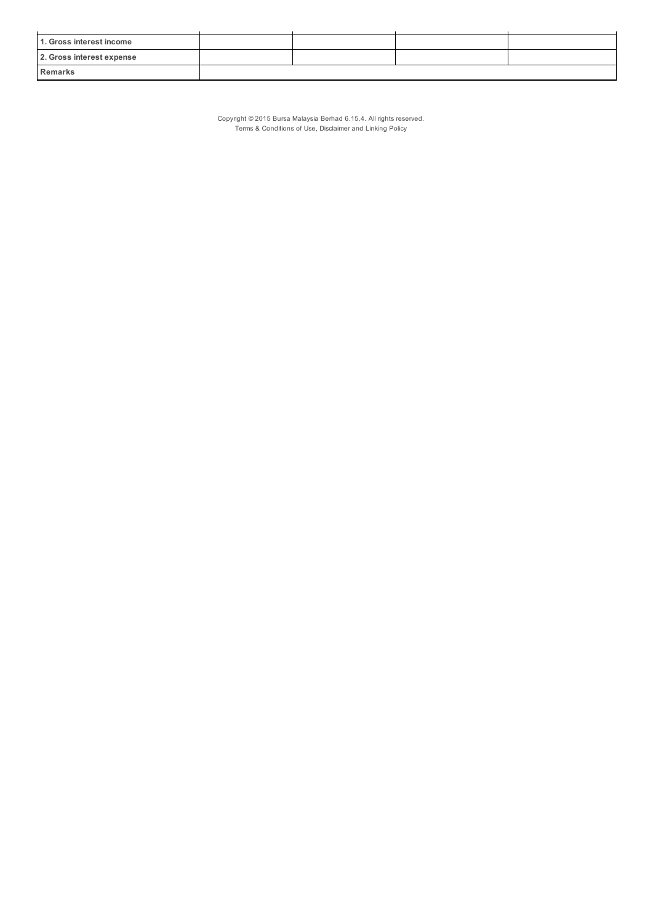| 1. Gross interest income  |  |  |
|---------------------------|--|--|
| 2. Gross interest expense |  |  |
| Remarks                   |  |  |

Copyright © 2015 Bursa Malaysia Berhad 6.15.4. All rights reserved. Terms & Conditions of Use, Disclaimer and Linking Policy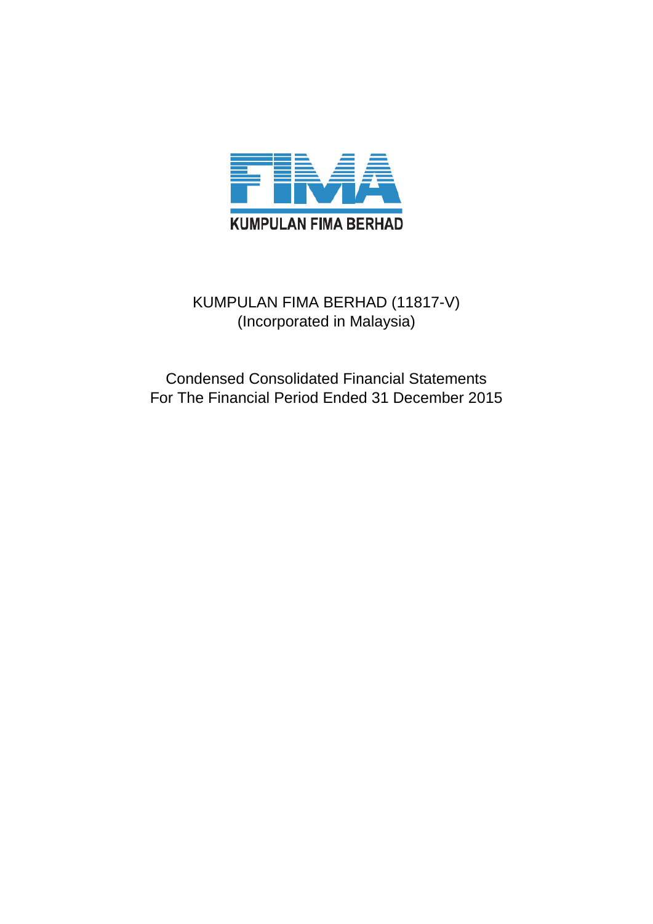

### KUMPULAN FIMA BERHAD (11817-V) (Incorporated in Malaysia)

Condensed Consolidated Financial Statements For The Financial Period Ended 31 December 2015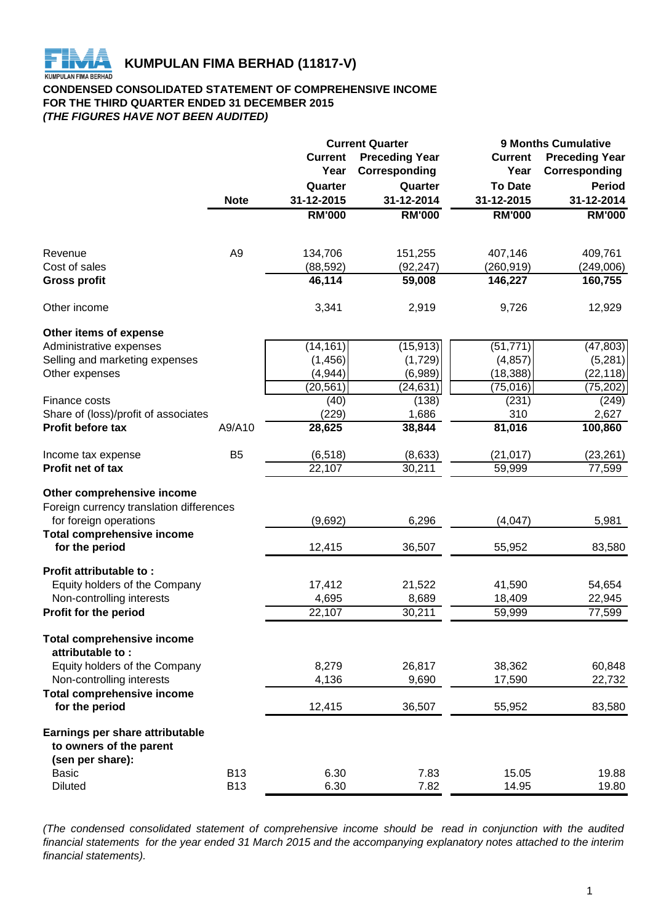

**KUMPULAN FIMA BERHAD (11817-V)**<br>KUMPULAN FIMA BERHAD

#### **CONDENSED CONSOLIDATED STATEMENT OF COMPREHENSIVE INCOME FOR THE THIRD QUARTER ENDED 31 DECEMBER 2015** *(THE FIGURES HAVE NOT BEEN AUDITED)*

|                                                       |                | <b>Current Quarter</b> |                       |                | <b>9 Months Cumulative</b> |  |
|-------------------------------------------------------|----------------|------------------------|-----------------------|----------------|----------------------------|--|
|                                                       |                | <b>Current</b>         | <b>Preceding Year</b> | <b>Current</b> | <b>Preceding Year</b>      |  |
|                                                       |                | Year                   | Corresponding         | Year           | Corresponding              |  |
|                                                       |                | Quarter                | Quarter               | <b>To Date</b> | <b>Period</b>              |  |
|                                                       | <b>Note</b>    | 31-12-2015             | 31-12-2014            | 31-12-2015     | 31-12-2014                 |  |
|                                                       |                | <b>RM'000</b>          | <b>RM'000</b>         | <b>RM'000</b>  | <b>RM'000</b>              |  |
|                                                       |                |                        |                       |                |                            |  |
| Revenue                                               | A <sub>9</sub> | 134,706                | 151,255               | 407,146        | 409,761                    |  |
| Cost of sales                                         |                | (88, 592)              | (92, 247)             | (260, 919)     | (249,006)                  |  |
| <b>Gross profit</b>                                   |                | 46,114                 | 59,008                | 146,227        | 160,755                    |  |
| Other income                                          |                | 3,341                  | 2,919                 | 9,726          | 12,929                     |  |
| Other items of expense                                |                |                        |                       |                |                            |  |
| Administrative expenses                               |                | (14, 161)              | (15, 913)             | (51, 771)      | (47, 803)                  |  |
| Selling and marketing expenses                        |                | (1, 456)               | (1,729)               | (4, 857)       | (5,281)                    |  |
| Other expenses                                        |                | (4, 944)               | (6,989)               | (18, 388)      | (22, 118)                  |  |
|                                                       |                | (20, 561)              | (24, 631)             | (75, 016)      | (75, 202)                  |  |
| Finance costs                                         |                | (40)                   | (138)                 | (231)          | (249)                      |  |
| Share of (loss)/profit of associates                  |                | (229)                  | 1,686                 | 310            | 2,627                      |  |
| Profit before tax                                     | A9/A10         | 28,625                 | 38,844                | 81,016         | 100,860                    |  |
| Income tax expense                                    | B <sub>5</sub> | (6, 518)               | (8,633)               | (21, 017)      | (23, 261)                  |  |
| Profit net of tax                                     |                | 22,107                 | 30,211                | 59,999         | 77,599                     |  |
| Other comprehensive income                            |                |                        |                       |                |                            |  |
| Foreign currency translation differences              |                |                        |                       |                |                            |  |
| for foreign operations                                |                | (9,692)                | 6,296                 | (4,047)        | 5,981                      |  |
| <b>Total comprehensive income</b>                     |                |                        |                       |                |                            |  |
| for the period                                        |                | 12,415                 | 36,507                | 55,952         | 83,580                     |  |
| <b>Profit attributable to:</b>                        |                |                        |                       |                |                            |  |
| Equity holders of the Company                         |                | 17,412                 | 21,522                | 41,590         | 54,654                     |  |
| Non-controlling interests                             |                | 4,695                  | 8,689                 | 18,409         | 22,945                     |  |
| Profit for the period                                 |                | 22,107                 | 30,211                | 59,999         | 77,599                     |  |
| <b>Total comprehensive income</b><br>attributable to: |                |                        |                       |                |                            |  |
|                                                       |                |                        |                       |                |                            |  |
| Equity holders of the Company                         |                | 8,279                  | 26,817                | 38,362         | 60,848                     |  |
| Non-controlling interests                             |                | 4,136                  | 9,690                 | 17,590         | 22,732                     |  |
| <b>Total comprehensive income</b><br>for the period   |                | 12,415                 | 36,507                | 55,952         | 83,580                     |  |
| Earnings per share attributable                       |                |                        |                       |                |                            |  |
| to owners of the parent                               |                |                        |                       |                |                            |  |
| (sen per share):                                      |                |                        |                       |                |                            |  |
| <b>Basic</b>                                          | <b>B13</b>     | 6.30                   | 7.83                  | 15.05          | 19.88                      |  |
| <b>Diluted</b>                                        | <b>B13</b>     | 6.30                   | 7.82                  | 14.95          | 19.80                      |  |
|                                                       |                |                        |                       |                |                            |  |

*(The condensed consolidated statement of comprehensive income should be read in conjunction with the audited* financial statements for the year ended 31 March 2015 and the accompanying explanatory notes attached to the interim *financial statements).*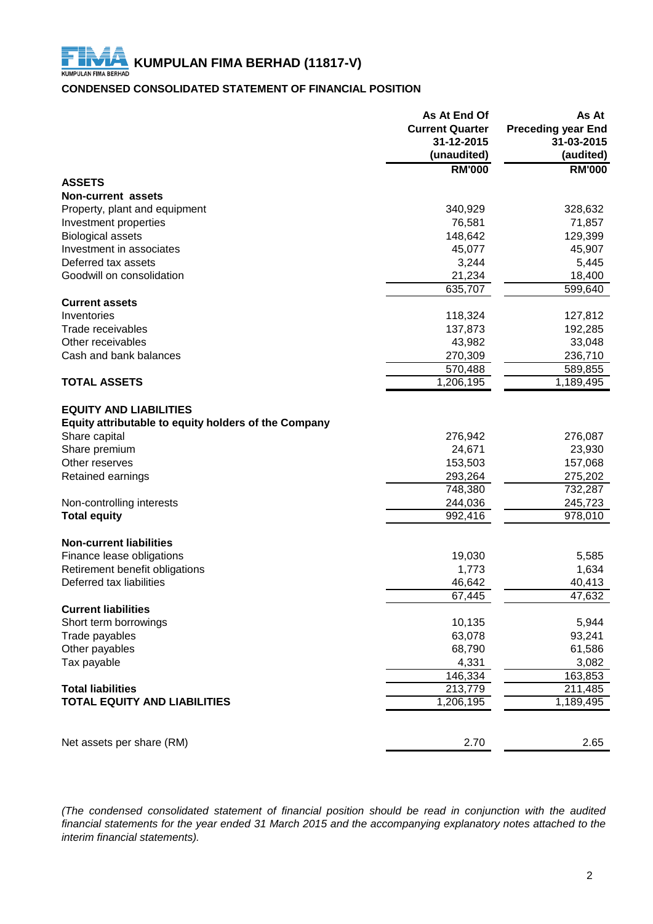### **CONDENSED CONSOLIDATED STATEMENT OF FINANCIAL POSITION**

|                                                                                       | As At End Of<br><b>Current Quarter</b><br>31-12-2015<br>(unaudited) | As At<br><b>Preceding year End</b><br>31-03-2015<br>(audited) |
|---------------------------------------------------------------------------------------|---------------------------------------------------------------------|---------------------------------------------------------------|
|                                                                                       | <b>RM'000</b>                                                       | <b>RM'000</b>                                                 |
| <b>ASSETS</b>                                                                         |                                                                     |                                                               |
| <b>Non-current assets</b>                                                             |                                                                     |                                                               |
| Property, plant and equipment                                                         | 340,929                                                             | 328,632                                                       |
| Investment properties                                                                 | 76,581                                                              | 71,857                                                        |
| <b>Biological assets</b>                                                              | 148,642                                                             | 129,399                                                       |
| Investment in associates                                                              | 45,077                                                              | 45,907                                                        |
| Deferred tax assets                                                                   | 3,244                                                               | 5,445                                                         |
| Goodwill on consolidation                                                             | 21,234                                                              | 18,400                                                        |
|                                                                                       | 635,707                                                             | 599,640                                                       |
| <b>Current assets</b>                                                                 |                                                                     |                                                               |
| Inventories                                                                           | 118,324                                                             | 127,812                                                       |
| Trade receivables                                                                     | 137,873                                                             | 192,285                                                       |
| Other receivables                                                                     | 43,982                                                              | 33,048                                                        |
| Cash and bank balances                                                                | 270,309                                                             | 236,710                                                       |
|                                                                                       | 570,488                                                             | 589,855                                                       |
| <b>TOTAL ASSETS</b>                                                                   | 1,206,195                                                           | 1,189,495                                                     |
| <b>EQUITY AND LIABILITIES</b><br>Equity attributable to equity holders of the Company |                                                                     |                                                               |
| Share capital                                                                         | 276,942                                                             | 276,087                                                       |
| Share premium                                                                         | 24,671                                                              | 23,930                                                        |
| Other reserves                                                                        | 153,503                                                             | 157,068                                                       |
| Retained earnings                                                                     | 293,264                                                             | 275,202                                                       |
|                                                                                       | 748,380                                                             | 732,287                                                       |
| Non-controlling interests                                                             | 244,036                                                             | 245,723                                                       |
| <b>Total equity</b>                                                                   | 992,416                                                             | 978,010                                                       |
| <b>Non-current liabilities</b>                                                        |                                                                     |                                                               |
| Finance lease obligations                                                             | 19,030                                                              | 5,585                                                         |
| Retirement benefit obligations                                                        | 1,773                                                               | 1,634                                                         |
| Deferred tax liabilities                                                              | 46,642                                                              | 40,413                                                        |
|                                                                                       | 67,445                                                              | 47,632                                                        |
| <b>Current liabilities</b>                                                            |                                                                     |                                                               |
| Short term borrowings                                                                 | 10,135                                                              | 5,944                                                         |
| Trade payables                                                                        | 63,078                                                              | 93,241                                                        |
| Other payables                                                                        | 68,790                                                              | 61,586                                                        |
| Tax payable                                                                           | 4,331                                                               | 3,082                                                         |
|                                                                                       |                                                                     | 163,853                                                       |
| <b>Total liabilities</b>                                                              | 146,334<br>213,779                                                  | 211,485                                                       |
| <b>TOTAL EQUITY AND LIABILITIES</b>                                                   | 1,206,195                                                           | 1,189,495                                                     |
|                                                                                       |                                                                     |                                                               |
| Net assets per share (RM)                                                             | 2.70                                                                | 2.65                                                          |

*(The condensed consolidated statement of financial position should be read in conjunction with the audited* financial statements for the year ended 31 March 2015 and the accompanying explanatory notes attached to the *interim financial statements).*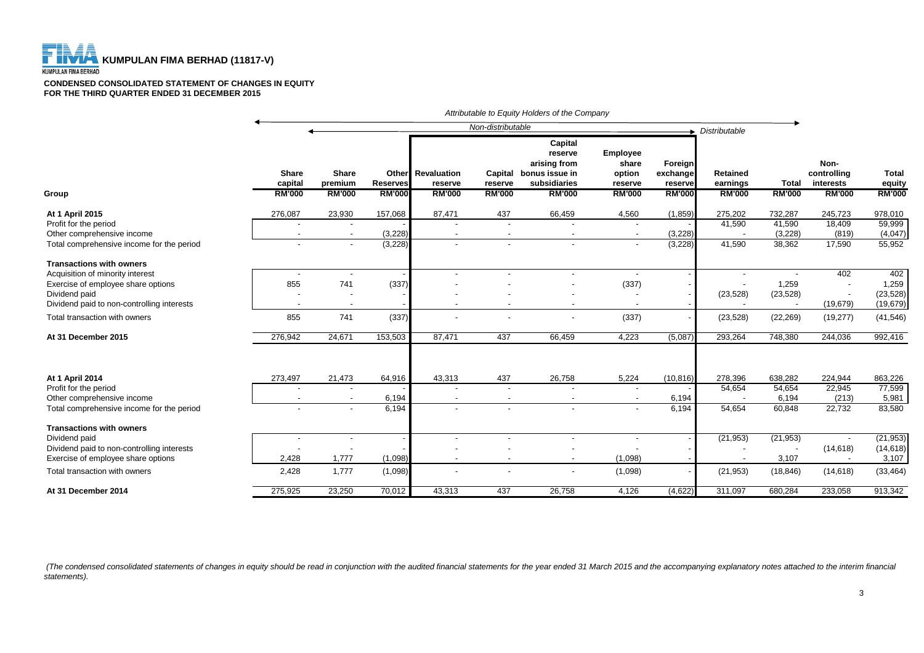

#### **CONDENSED CONSOLIDATED STATEMENT OF CHANGES IN EQUITY FOR THE THIRD QUARTER ENDED 31 DECEMBER 2015**

|                                            |                                          | Attributable to Equity Holders of the Company |                                  |                                                      |                                     |                                                                                       |                                                         |                                                 |                                              |                               |                                                   |                                         |
|--------------------------------------------|------------------------------------------|-----------------------------------------------|----------------------------------|------------------------------------------------------|-------------------------------------|---------------------------------------------------------------------------------------|---------------------------------------------------------|-------------------------------------------------|----------------------------------------------|-------------------------------|---------------------------------------------------|-----------------------------------------|
|                                            |                                          |                                               |                                  |                                                      | Non-distributable                   |                                                                                       |                                                         |                                                 | Distributable                                |                               |                                                   |                                         |
| Group                                      | <b>Share</b><br>capital<br><b>RM'000</b> | <b>Share</b><br>premium<br><b>RM'000</b>      | <b>Reserves</b><br><b>RM'000</b> | <b>Other</b> Revaluation<br>reserve<br><b>RM'000</b> | Capital<br>reserve<br><b>RM'000</b> | Capital<br>reserve<br>arising from<br>bonus issue in<br>subsidiaries<br><b>RM'000</b> | Employee<br>share<br>option<br>reserve<br><b>RM'000</b> | Foreign<br>exchange<br>reserve<br><b>RM'000</b> | <b>Retained</b><br>earnings<br><b>RM'000</b> | <b>Total</b><br><b>RM'000</b> | Non-<br>controlling<br>interests<br><b>RM'000</b> | <b>Total</b><br>equity<br><b>RM'000</b> |
| At 1 April 2015                            | 276,087                                  | 23,930                                        | 157,068                          | 87,471                                               | 437                                 | 66,459                                                                                | 4,560                                                   | (1,859)                                         | 275,202                                      | 732,287                       | 245,723                                           | 978,010                                 |
| Profit for the period                      |                                          |                                               |                                  |                                                      |                                     |                                                                                       |                                                         |                                                 | 41,590                                       | 41,590                        | 18,409                                            | 59,999                                  |
| Other comprehensive income                 |                                          | $\overline{\phantom{a}}$                      | (3,228)                          |                                                      |                                     |                                                                                       |                                                         | (3,228)                                         |                                              | (3,228)                       | (819)                                             | (4,047)                                 |
| Total comprehensive income for the period  |                                          | $\blacksquare$                                | (3,228)                          |                                                      |                                     |                                                                                       |                                                         | (3,228)                                         | 41,590                                       | 38,362                        | 17,590                                            | 55,952                                  |
| <b>Transactions with owners</b>            |                                          |                                               |                                  |                                                      |                                     |                                                                                       |                                                         |                                                 |                                              |                               |                                                   |                                         |
| Acquisition of minority interest           | $\overline{\phantom{a}}$                 | $\overline{\phantom{a}}$                      |                                  |                                                      |                                     |                                                                                       | $\overline{\phantom{a}}$                                |                                                 | $\overline{\phantom{a}}$                     |                               | 402                                               | 402                                     |
| Exercise of employee share options         | 855                                      | 741                                           | (337)                            |                                                      |                                     |                                                                                       | (337)                                                   |                                                 |                                              | 1,259                         |                                                   | 1,259                                   |
| Dividend paid                              |                                          |                                               |                                  |                                                      |                                     |                                                                                       |                                                         |                                                 | (23, 528)                                    | (23, 528)                     |                                                   | (23, 528)                               |
| Dividend paid to non-controlling interests | $\overline{\phantom{a}}$                 | $\overline{\phantom{a}}$                      |                                  |                                                      |                                     |                                                                                       |                                                         |                                                 |                                              | $\overline{\phantom{a}}$      | (19, 679)                                         | (19, 679)                               |
| Total transaction with owners              | 855                                      | 741                                           | (337)                            |                                                      |                                     |                                                                                       | (337)                                                   |                                                 | (23, 528)                                    | (22, 269)                     | (19, 277)                                         | (41, 546)                               |
| At 31 December 2015                        | 276,942                                  | 24,671                                        | 153,503                          | 87,471                                               | 437                                 | 66,459                                                                                | 4,223                                                   | (5,087)                                         | 293,264                                      | 748,380                       | 244,036                                           | 992,416                                 |
| At 1 April 2014                            | 273,497                                  | 21,473                                        | 64,916                           | 43,313                                               | 437                                 | 26,758                                                                                | 5,224                                                   | (10, 816)                                       | 278,396                                      | 638,282                       | 224,944                                           | 863,226                                 |
| Profit for the period                      |                                          | $\overline{\phantom{a}}$                      |                                  |                                                      |                                     |                                                                                       |                                                         |                                                 | 54,654                                       | 54,654                        | 22,945                                            | 77,599                                  |
| Other comprehensive income                 |                                          | $\blacksquare$                                | 6,194                            | $\overline{\phantom{a}}$                             |                                     |                                                                                       | $\overline{\phantom{a}}$                                | 6,194                                           |                                              | 6,194                         | (213)                                             | 5,981                                   |
| Total comprehensive income for the period  |                                          | $\blacksquare$                                | 6,194                            |                                                      |                                     |                                                                                       |                                                         | 6,194                                           | 54,654                                       | 60,848                        | 22,732                                            | 83,580                                  |
| <b>Transactions with owners</b>            |                                          |                                               |                                  |                                                      |                                     |                                                                                       |                                                         |                                                 |                                              |                               |                                                   |                                         |
| Dividend paid                              |                                          | $\blacksquare$                                |                                  | $\overline{\phantom{a}}$                             |                                     |                                                                                       |                                                         |                                                 | (21, 953)                                    | (21, 953)                     |                                                   | (21, 953)                               |
| Dividend paid to non-controlling interests |                                          |                                               |                                  |                                                      |                                     |                                                                                       |                                                         |                                                 |                                              |                               | (14, 618)                                         | (14, 618)                               |
| Exercise of employee share options         | 2,428                                    | 1,777                                         | (1,098)                          |                                                      |                                     |                                                                                       | (1,098)                                                 |                                                 |                                              | 3,107                         |                                                   | 3,107                                   |
| Total transaction with owners              | 2,428                                    | 1,777                                         | (1,098)                          | $\overline{\phantom{a}}$                             |                                     |                                                                                       | (1,098)                                                 |                                                 | (21, 953)                                    | (18, 846)                     | (14, 618)                                         | (33, 464)                               |
| At 31 December 2014                        | 275,925                                  | 23,250                                        | 70,012                           | 43,313                                               | 437                                 | 26,758                                                                                | 4,126                                                   | (4,622)                                         | 311,097                                      | 680.284                       | 233,058                                           | 913,342                                 |

(The condensed consolidated statements of changes in equity should be read in conjunction with the audited financial statements for the year ended 31 March 2015 and the accompanying explanatory notes attached to the interi *statements).*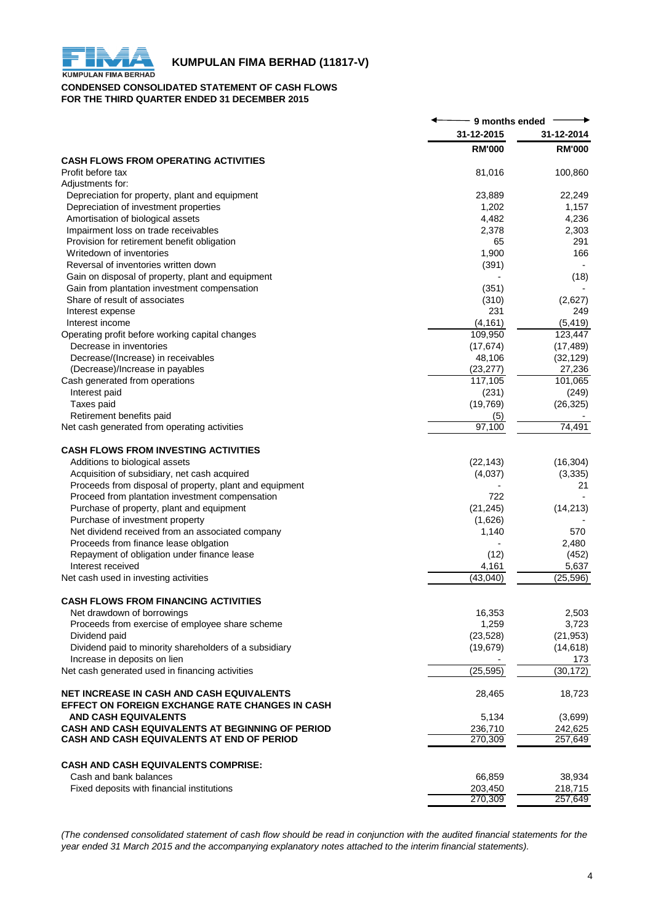

## **KUMPULAN FIMA BERHAD (11817-V)**<br>KUMPULAN FIMA BERHAD

#### **CONDENSED CONSOLIDATED STATEMENT OF CASH FLOWS FOR THE THIRD QUARTER ENDED 31 DECEMBER 2015**

|                                                                    | 9 months ended |               |
|--------------------------------------------------------------------|----------------|---------------|
|                                                                    | 31-12-2015     | 31-12-2014    |
|                                                                    | <b>RM'000</b>  | <b>RM'000</b> |
| <b>CASH FLOWS FROM OPERATING ACTIVITIES</b>                        |                |               |
| Profit before tax                                                  | 81,016         | 100,860       |
| Adjustments for:<br>Depreciation for property, plant and equipment | 23,889         | 22,249        |
| Depreciation of investment properties                              | 1,202          | 1,157         |
| Amortisation of biological assets                                  | 4,482          | 4,236         |
| Impairment loss on trade receivables                               | 2,378          | 2,303         |
| Provision for retirement benefit obligation                        | 65             | 291           |
| Writedown of inventories                                           | 1,900          | 166           |
| Reversal of inventories written down                               | (391)          |               |
| Gain on disposal of property, plant and equipment                  |                | (18)          |
| Gain from plantation investment compensation                       | (351)          |               |
| Share of result of associates                                      | (310)          | (2,627)       |
| Interest expense                                                   | 231            | 249           |
| Interest income                                                    | (4, 161)       | (5, 419)      |
| Operating profit before working capital changes                    | 109,950        | 123,447       |
| Decrease in inventories                                            | (17, 674)      | (17, 489)     |
| Decrease/(Increase) in receivables                                 | 48,106         | (32, 129)     |
| (Decrease)/Increase in payables                                    | (23, 277)      | 27,236        |
| Cash generated from operations                                     | 117,105        | 101,065       |
| Interest paid                                                      | (231)          | (249)         |
| Taxes paid                                                         | (19, 769)      | (26, 325)     |
| Retirement benefits paid                                           | (5)            |               |
| Net cash generated from operating activities                       | 97,100         | 74,491        |
| <b>CASH FLOWS FROM INVESTING ACTIVITIES</b>                        |                |               |
| Additions to biological assets                                     | (22, 143)      | (16, 304)     |
| Acquisition of subsidiary, net cash acquired                       | (4,037)        | (3, 335)      |
| Proceeds from disposal of property, plant and equipment            |                | 21            |
| Proceed from plantation investment compensation                    | 722            |               |
| Purchase of property, plant and equipment                          | (21, 245)      | (14, 213)     |
| Purchase of investment property                                    | (1,626)        |               |
| Net dividend received from an associated company                   | 1,140          | 570           |
| Proceeds from finance lease oblgation                              |                | 2,480         |
| Repayment of obligation under finance lease                        | (12)           | (452)         |
| Interest received                                                  | 4,161          | 5,637         |
| Net cash used in investing activities                              | (43,040)       | (25, 596)     |
| <b>CASH FLOWS FROM FINANCING ACTIVITIES</b>                        |                |               |
| Net drawdown of borrowings                                         | 16,353         | 2,503         |
| Proceeds from exercise of employee share scheme                    | 1,259          | 3,723         |
| Dividend paid                                                      | (23, 528)      | (21, 953)     |
| Dividend paid to minority shareholders of a subsidiary             | (19, 679)      | (14, 618)     |
| Increase in deposits on lien                                       |                | 173           |
| Net cash generated used in financing activities                    | (25, 595)      | (30, 172)     |
| <b>NET INCREASE IN CASH AND CASH EQUIVALENTS</b>                   | 28,465         | 18,723        |
| <b>EFFECT ON FOREIGN EXCHANGE RATE CHANGES IN CASH</b>             |                |               |
| <b>AND CASH EQUIVALENTS</b>                                        | 5,134          | (3,699)       |
| CASH AND CASH EQUIVALENTS AT BEGINNING OF PERIOD                   | 236,710        | 242,625       |
| <b>CASH AND CASH EQUIVALENTS AT END OF PERIOD</b>                  | 270,309        | 257,649       |
| CASH AND CASH EQUIVALENTS COMPRISE:                                |                |               |
| Cash and bank balances                                             | 66,859         | 38,934        |
| Fixed deposits with financial institutions                         | 203,450        | 218,715       |
|                                                                    | 270,309        | 257,649       |

(The condensed consolidated statement of cash flow should be read in conjunction with the audited financial statements for the *year ended 31 March 2015 and the accompanying explanatory notes attached to the interim financial statements).*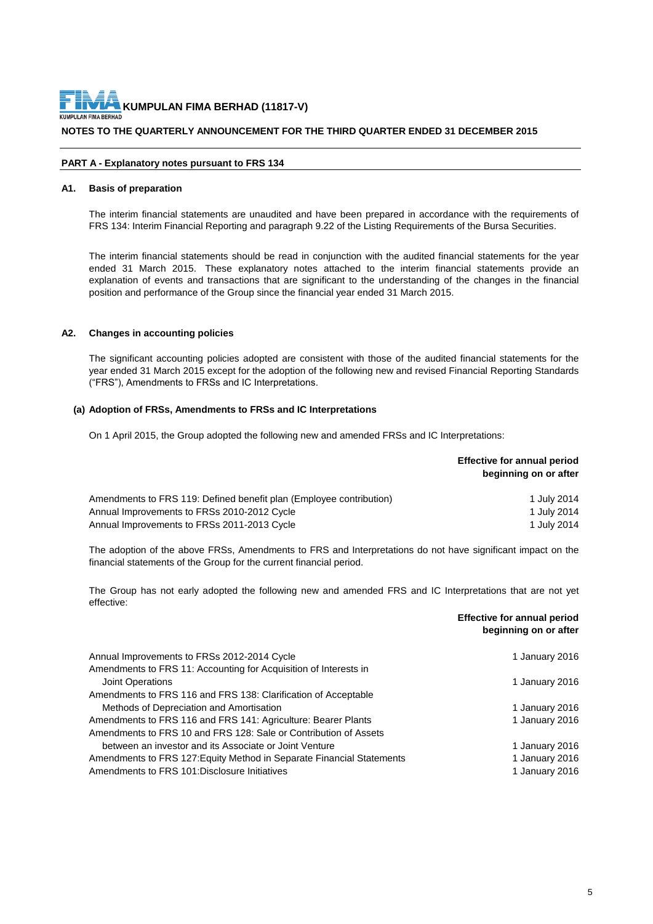#### **NOTES TO THE QUARTERLY ANNOUNCEMENT FOR THE THIRD QUARTER ENDED 31 DECEMBER 2015**

#### **PART A - Explanatory notes pursuant to FRS 134**

#### **A1. Basis of preparation**

The interim financial statements are unaudited and have been prepared in accordance with the requirements of FRS 134: Interim Financial Reporting and paragraph 9.22 of the Listing Requirements of the Bursa Securities.

The interim financial statements should be read in conjunction with the audited financial statements for the year ended 31 March 2015. These explanatory notes attached to the interim financial statements provide an explanation of events and transactions that are significant to the understanding of the changes in the financial position and performance of the Group since the financial year ended 31 March 2015.

#### **A2. Changes in accounting policies**

The significant accounting policies adopted are consistent with those of the audited financial statements for the year ended 31 March 2015 except for the adoption of the following new and revised Financial Reporting Standards ("FRS"), Amendments to FRSs and IC Interpretations.

#### **(a) Adoption of FRSs, Amendments to FRSs and IC Interpretations**

On 1 April 2015, the Group adopted the following new and amended FRSs and IC Interpretations:

|                                                                     | <b>Effective for annual period</b><br>beginning on or after |
|---------------------------------------------------------------------|-------------------------------------------------------------|
| Amendments to FRS 119: Defined benefit plan (Employee contribution) | 1 July 2014                                                 |
| Annual Improvements to FRSs 2010-2012 Cycle                         | 1 July 2014                                                 |
| Annual Improvements to FRSs 2011-2013 Cycle                         | 1 July 2014                                                 |

The adoption of the above FRSs, Amendments to FRS and Interpretations do not have significant impact on the financial statements of the Group for the current financial period.

The Group has not early adopted the following new and amended FRS and IC Interpretations that are not yet effective:

|                                                                       | beginning on or after |
|-----------------------------------------------------------------------|-----------------------|
| Annual Improvements to FRSs 2012-2014 Cycle                           | 1 January 2016        |
| Amendments to FRS 11: Accounting for Acquisition of Interests in      |                       |
| <b>Joint Operations</b>                                               | 1 January 2016        |
| Amendments to FRS 116 and FRS 138: Clarification of Acceptable        |                       |
| Methods of Depreciation and Amortisation                              | 1 January 2016        |
| Amendments to FRS 116 and FRS 141: Agriculture: Bearer Plants         | 1 January 2016        |
| Amendments to FRS 10 and FRS 128: Sale or Contribution of Assets      |                       |
| between an investor and its Associate or Joint Venture                | 1 January 2016        |
| Amendments to FRS 127: Equity Method in Separate Financial Statements | 1 January 2016        |
| Amendments to FRS 101: Disclosure Initiatives                         | 1 January 2016        |
|                                                                       |                       |

**Effective for annual period**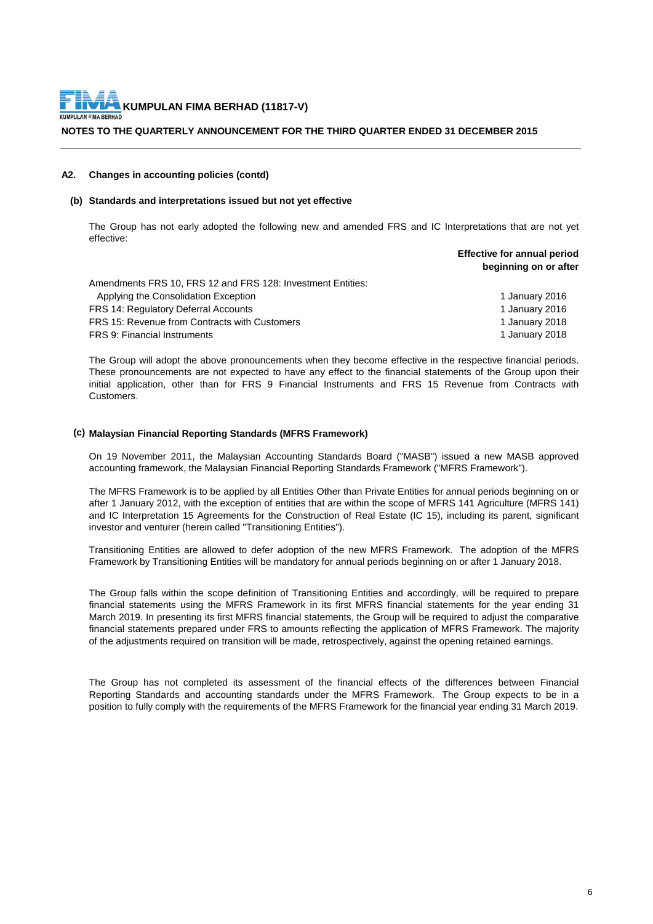#### **NOTES TO THE QUARTERLY ANNOUNCEMENT FOR THE THIRD QUARTER ENDED 31 DECEMBER 2015**

#### **A2. Changes in accounting policies (contd)**

#### **(b) Standards and interpretations issued but not yet effective**

The Group has not early adopted the following new and amended FRS and IC Interpretations that are not yet effective:

> **Effective for annual period beginning on or after**

| Amendments FRS 10, FRS 12 and FRS 128: Investment Entities: |                |
|-------------------------------------------------------------|----------------|
| Applying the Consolidation Exception                        | 1 January 2016 |
| FRS 14: Regulatory Deferral Accounts                        | 1 January 2016 |
| FRS 15: Revenue from Contracts with Customers               | 1 January 2018 |
| <b>FRS 9: Financial Instruments</b>                         | 1 January 2018 |

The Group will adopt the above pronouncements when they become effective in the respective financial periods. These pronouncements are not expected to have any effect to the financial statements of the Group upon their initial application, other than for FRS 9 Financial Instruments and FRS 15 Revenue from Contracts with Customers.

#### **(c) Malaysian Financial Reporting Standards (MFRS Framework)**

On 19 November 2011, the Malaysian Accounting Standards Board ("MASB") issued a new MASB approved accounting framework, the Malaysian Financial Reporting Standards Framework ("MFRS Framework").

The MFRS Framework is to be applied by all Entities Other than Private Entities for annual periods beginning on or after 1 January 2012, with the exception of entities that are within the scope of MFRS 141 Agriculture (MFRS 141) and IC Interpretation 15 Agreements for the Construction of Real Estate (IC 15), including its parent, significant investor and venturer (herein called "Transitioning Entities").

Transitioning Entities are allowed to defer adoption of the new MFRS Framework. The adoption of the MFRS Framework by Transitioning Entities will be mandatory for annual periods beginning on or after 1 January 2018.

The Group falls within the scope definition of Transitioning Entities and accordingly, will be required to prepare financial statements using the MFRS Framework in its first MFRS financial statements for the year ending 31 March 2019. In presenting its first MFRS financial statements, the Group will be required to adjust the comparative financial statements prepared under FRS to amounts reflecting the application of MFRS Framework. The majority of the adjustments required on transition will be made, retrospectively, against the opening retained earnings.

The Group has not completed its assessment of the financial effects of the differences between Financial Reporting Standards and accounting standards under the MFRS Framework. The Group expects to be in a position to fully comply with the requirements of the MFRS Framework for the financial year ending 31 March 2019.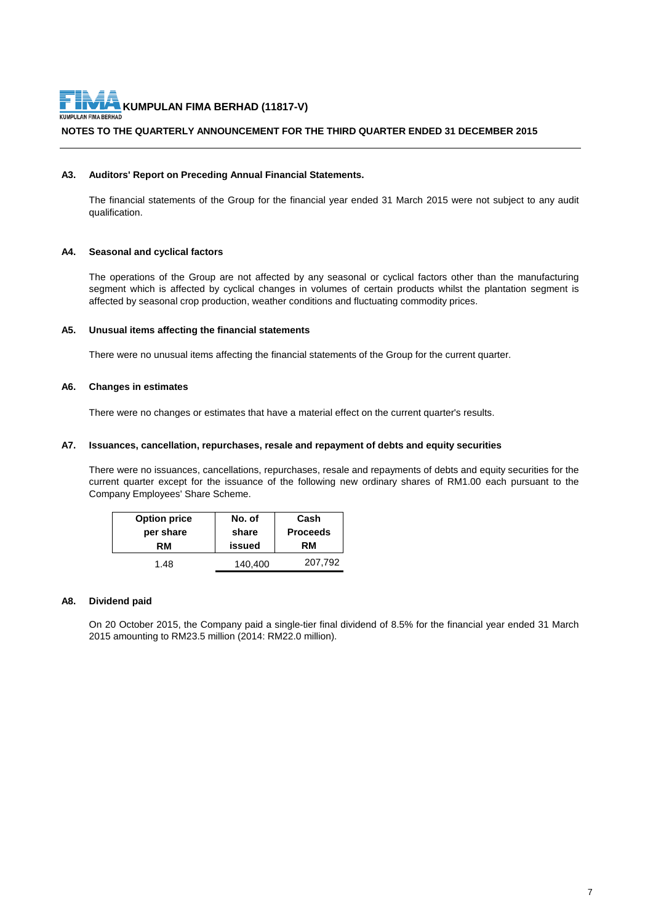#### **NOTES TO THE QUARTERLY ANNOUNCEMENT FOR THE THIRD QUARTER ENDED 31 DECEMBER 2015**

#### **A3. Auditors' Report on Preceding Annual Financial Statements.**

The financial statements of the Group for the financial year ended 31 March 2015 were not subject to any audit qualification.

#### **A4. Seasonal and cyclical factors**

The operations of the Group are not affected by any seasonal or cyclical factors other than the manufacturing segment which is affected by cyclical changes in volumes of certain products whilst the plantation segment is affected by seasonal crop production, weather conditions and fluctuating commodity prices.

#### **A5. Unusual items affecting the financial statements**

There were no unusual items affecting the financial statements of the Group for the current quarter.

#### **A6. Changes in estimates**

There were no changes or estimates that have a material effect on the current quarter's results.

#### **A7. Issuances, cancellation, repurchases, resale and repayment of debts and equity securities**

There were no issuances, cancellations, repurchases, resale and repayments of debts and equity securities for the current quarter except for the issuance of the following new ordinary shares of RM1.00 each pursuant to the Company Employees' Share Scheme.

| <b>Option price</b> | No. of  | Cash            |
|---------------------|---------|-----------------|
| per share           | share   | <b>Proceeds</b> |
| RM                  | issued  | RM              |
| 1.48                | 140,400 | 207,792         |

#### **A8. Dividend paid**

On 20 October 2015, the Company paid a single-tier final dividend of 8.5% for the financial year ended 31 March 2015 amounting to RM23.5 million (2014: RM22.0 million).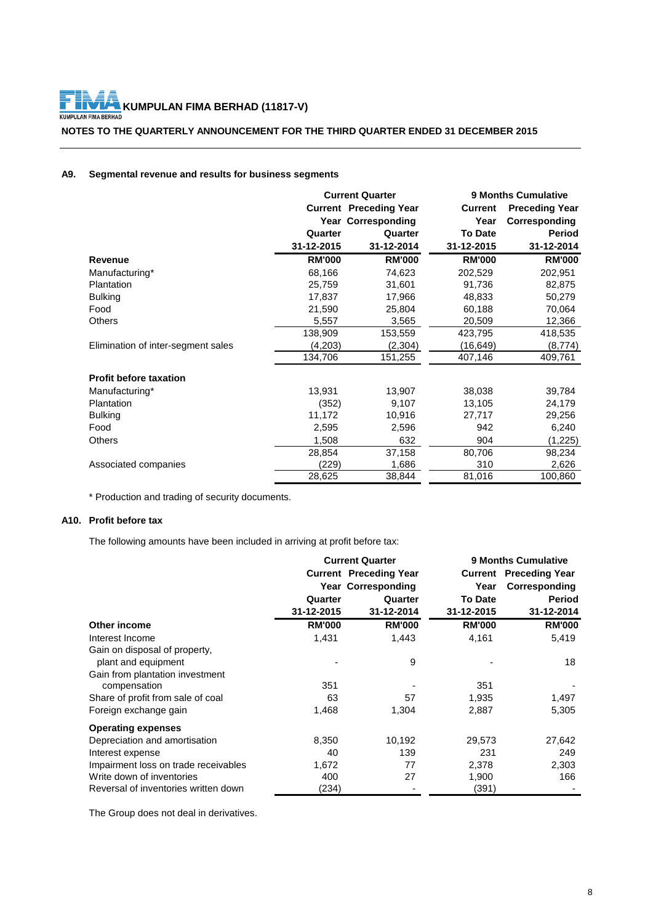F **KUMPULAN FIMA BERHAD (11817-V)**<br>KUMPULAN FIMA BERHAD

**NOTES TO THE QUARTERLY ANNOUNCEMENT FOR THE THIRD QUARTER ENDED 31 DECEMBER 2015**

#### **A9. Segmental revenue and results for business segments**

|                                    | <b>Current Quarter</b> |                               |                | <b>9 Months Cumulative</b> |  |
|------------------------------------|------------------------|-------------------------------|----------------|----------------------------|--|
|                                    |                        | <b>Current Preceding Year</b> | <b>Current</b> | <b>Preceding Year</b>      |  |
|                                    |                        | Year Corresponding            | Year           | Corresponding              |  |
|                                    | Quarter                | Quarter                       | <b>To Date</b> | Period                     |  |
|                                    | 31-12-2015             | 31-12-2014                    | 31-12-2015     | 31-12-2014                 |  |
| Revenue                            | <b>RM'000</b>          | <b>RM'000</b>                 | <b>RM'000</b>  | <b>RM'000</b>              |  |
| Manufacturing*                     | 68,166                 | 74,623                        | 202,529        | 202,951                    |  |
| Plantation                         | 25,759                 | 31,601                        | 91,736         | 82,875                     |  |
| <b>Bulking</b>                     | 17,837                 | 17,966                        | 48,833         | 50,279                     |  |
| Food                               | 21,590                 | 25,804                        | 60,188         | 70,064                     |  |
| <b>Others</b>                      | 5,557                  | 3,565                         | 20,509         | 12,366                     |  |
|                                    | 138,909                | 153,559                       | 423,795        | 418,535                    |  |
| Elimination of inter-segment sales | (4,203)                | (2,304)                       | (16, 649)      | (8, 774)                   |  |
|                                    | 134,706                | 151,255                       | 407,146        | 409,761                    |  |
| <b>Profit before taxation</b>      |                        |                               |                |                            |  |
| Manufacturing*                     | 13,931                 | 13,907                        | 38,038         | 39,784                     |  |
| Plantation                         | (352)                  | 9,107                         | 13,105         | 24,179                     |  |
| <b>Bulking</b>                     | 11,172                 | 10,916                        | 27,717         | 29,256                     |  |
| Food                               | 2,595                  | 2,596                         | 942            | 6,240                      |  |
| <b>Others</b>                      | 1,508                  | 632                           | 904            | (1, 225)                   |  |
|                                    | 28,854                 | 37,158                        | 80,706         | 98,234                     |  |
| Associated companies               | (229)                  | 1,686                         | 310            | 2,626                      |  |
|                                    | 28,625                 | 38,844                        | 81,016         | 100,860                    |  |

\* Production and trading of security documents.

#### **A10. Profit before tax**

The following amounts have been included in arriving at profit before tax:

|                                      | <b>Current Quarter</b> |                               |                | <b>9 Months Cumulative</b>    |
|--------------------------------------|------------------------|-------------------------------|----------------|-------------------------------|
|                                      |                        | <b>Current Preceding Year</b> |                | <b>Current Preceding Year</b> |
|                                      |                        | Year Corresponding            | Year           | Corresponding                 |
|                                      | Quarter                | Quarter                       | <b>To Date</b> | Period                        |
|                                      | 31-12-2015             | 31-12-2014                    | 31-12-2015     | 31-12-2014                    |
| Other income                         | <b>RM'000</b>          | <b>RM'000</b>                 | <b>RM'000</b>  | <b>RM'000</b>                 |
| Interest Income                      | 1,431                  | 1,443                         | 4,161          | 5,419                         |
| Gain on disposal of property,        |                        |                               |                |                               |
| plant and equipment                  |                        | 9                             |                | 18                            |
| Gain from plantation investment      |                        |                               |                |                               |
| compensation                         | 351                    |                               | 351            |                               |
| Share of profit from sale of coal    | 63                     | 57                            | 1,935          | 1,497                         |
| Foreign exchange gain                | 1,468                  | 1,304                         | 2,887          | 5,305                         |
| <b>Operating expenses</b>            |                        |                               |                |                               |
| Depreciation and amortisation        | 8,350                  | 10,192                        | 29,573         | 27,642                        |
| Interest expense                     | 40                     | 139                           | 231            | 249                           |
| Impairment loss on trade receivables | 1,672                  | 77                            | 2,378          | 2,303                         |
| Write down of inventories            | 400                    | 27                            | 1,900          | 166                           |
| Reversal of inventories written down | (234)                  |                               | (391)          |                               |

The Group does not deal in derivatives.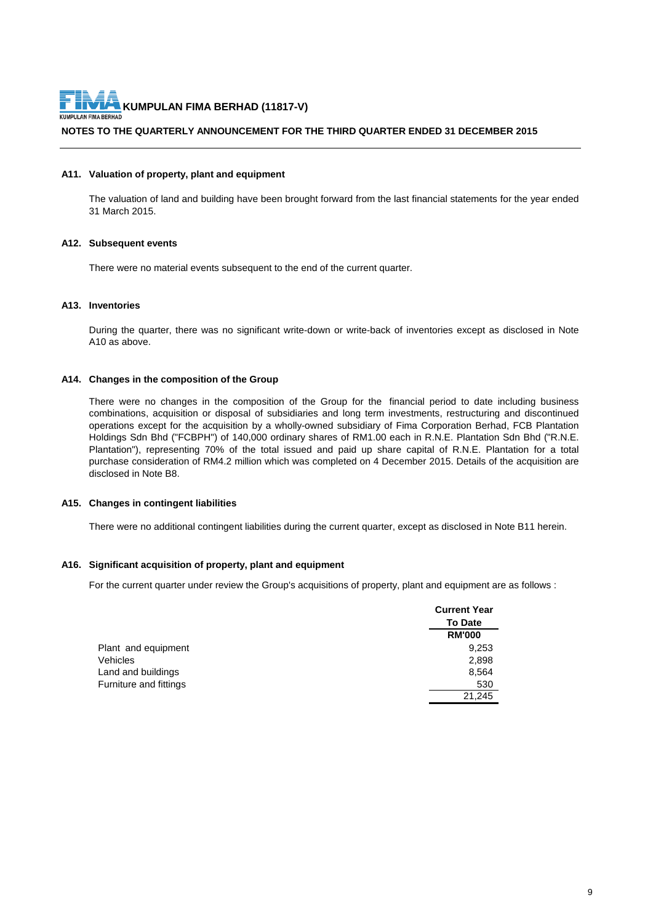

#### **NOTES TO THE QUARTERLY ANNOUNCEMENT FOR THE THIRD QUARTER ENDED 31 DECEMBER 2015**

#### **A11. Valuation of property, plant and equipment**

The valuation of land and building have been brought forward from the last financial statements for the year ended 31 March 2015.

#### **A12. Subsequent events**

There were no material events subsequent to the end of the current quarter.

#### **A13. Inventories**

During the quarter, there was no significant write-down or write-back of inventories except as disclosed in Note A10 as above.

#### **A14. Changes in the composition of the Group**

There were no changes in the composition of the Group for the financial period to date including business combinations, acquisition or disposal of subsidiaries and long term investments, restructuring and discontinued operations except for the acquisition by a wholly-owned subsidiary of Fima Corporation Berhad, FCB Plantation Holdings Sdn Bhd ("FCBPH") of 140,000 ordinary shares of RM1.00 each in R.N.E. Plantation Sdn Bhd ("R.N.E. Plantation"), representing 70% of the total issued and paid up share capital of R.N.E. Plantation for a total purchase consideration of RM4.2 million which was completed on 4 December 2015. Details of the acquisition are disclosed in Note B8.

#### **A15. Changes in contingent liabilities**

There were no additional contingent liabilities during the current quarter, except as disclosed in Note B11 herein.

#### **A16. Significant acquisition of property, plant and equipment**

For the current quarter under review the Group's acquisitions of property, plant and equipment are as follows :

|                        | <b>Current Year</b><br><b>To Date</b> |
|------------------------|---------------------------------------|
|                        | <b>RM'000</b>                         |
| Plant and equipment    | 9,253                                 |
| Vehicles               | 2,898                                 |
| Land and buildings     | 8,564                                 |
| Furniture and fittings | 530                                   |
|                        | 21.245                                |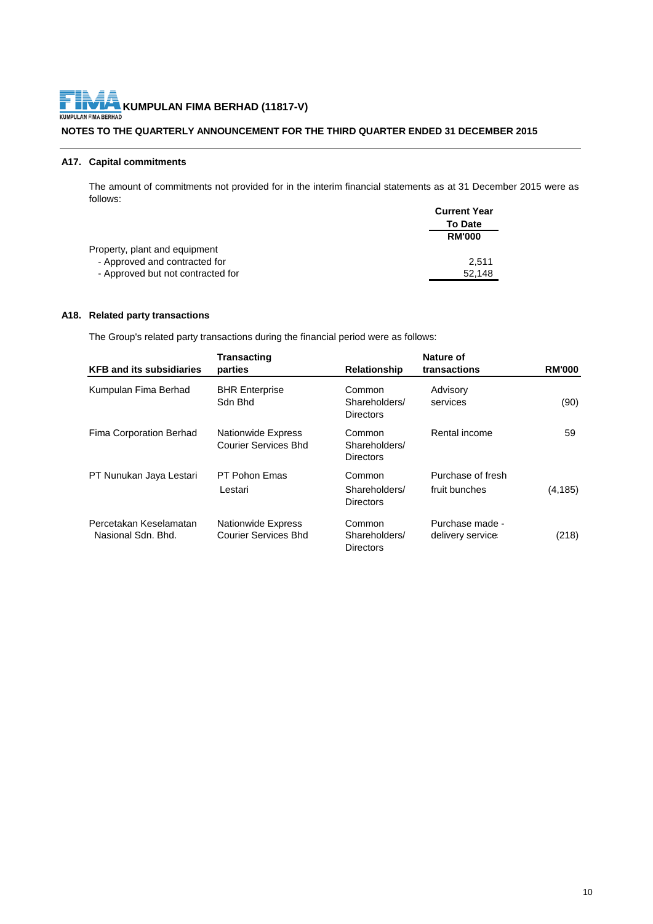# **THE RAVID KUMPULAN FIMA BERHAD (11817-V)**

#### **NOTES TO THE QUARTERLY ANNOUNCEMENT FOR THE THIRD QUARTER ENDED 31 DECEMBER 2015**

#### **A17. Capital commitments**

**Current Year** The amount of commitments not provided for in the interim financial statements as at 31 December 2015 were as follows:

|                                   | <b>Current Year</b> |
|-----------------------------------|---------------------|
|                                   | <b>To Date</b>      |
|                                   | <b>RM'000</b>       |
| Property, plant and equipment     |                     |
| - Approved and contracted for     | 2.511               |
| - Approved but not contracted for | 52.148              |

#### **A18. Related party transactions**

The Group's related party transactions during the financial period were as follows:

|                                              | <b>Transacting</b>                                |                                             | Nature of                           |               |
|----------------------------------------------|---------------------------------------------------|---------------------------------------------|-------------------------------------|---------------|
| <b>KFB and its subsidiaries</b>              | parties                                           | <b>Relationship</b>                         | transactions                        | <b>RM'000</b> |
| Kumpulan Fima Berhad                         | <b>BHR Enterprise</b><br>Sdn Bhd                  | Common<br>Shareholders/<br><b>Directors</b> | Advisory<br>services                | (90)          |
| Fima Corporation Berhad                      | <b>Nationwide Express</b><br>Courier Services Bhd | Common<br>Shareholders/<br><b>Directors</b> | Rental income                       | 59            |
| PT Nunukan Jaya Lestari                      | PT Pohon Emas<br>Lestari                          | Common<br>Shareholders/<br><b>Directors</b> | Purchase of fresh<br>fruit bunches  | (4, 185)      |
| Percetakan Keselamatan<br>Nasional Sdn. Bhd. | <b>Nationwide Express</b><br>Courier Services Bhd | Common<br>Shareholders/<br><b>Directors</b> | Purchase made -<br>delivery service | (218)         |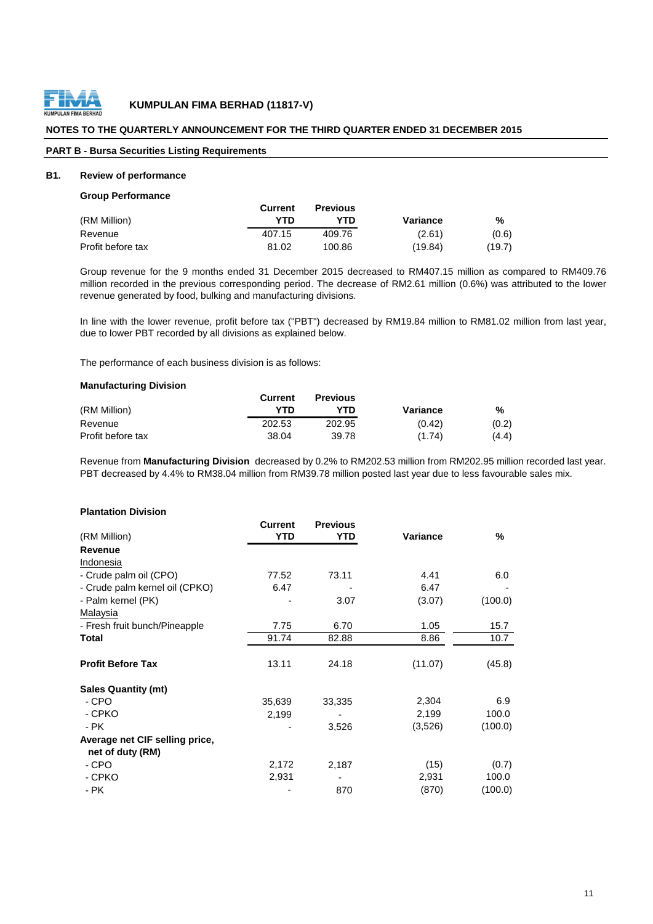

#### **NOTES TO THE QUARTERLY ANNOUNCEMENT FOR THE THIRD QUARTER ENDED 31 DECEMBER 2015**

#### **PART B - Bursa Securities Listing Requirements**

#### **B1. Review of performance**

#### **Group Performance**

|                   | Current | <b>Previous</b> |          |        |
|-------------------|---------|-----------------|----------|--------|
| (RM Million)      | YTD     | YTD             | Variance | %      |
| Revenue           | 407.15  | 409.76          | (2.61)   | (0.6)  |
| Profit before tax | 81.02   | 100.86          | (19.84)  | (19.7) |

Group revenue for the 9 months ended 31 December 2015 decreased to RM407.15 million as compared to RM409.76 million recorded in the previous corresponding period. The decrease of RM2.61 million (0.6%) was attributed to the lower revenue generated by food, bulking and manufacturing divisions.

In line with the lower revenue, profit before tax ("PBT") decreased by RM19.84 million to RM81.02 million from last year, due to lower PBT recorded by all divisions as explained below.

The performance of each business division is as follows:

#### **Manufacturing Division**

|                   | Current | <b>Previous</b> |          |       |
|-------------------|---------|-----------------|----------|-------|
| (RM Million)      | YTD     | YTD             | Variance | %     |
| Revenue           | 202.53  | 202.95          | (0.42)   | (0.2) |
| Profit before tax | 38.04   | 39.78           | (1.74)   | (4.4) |

Revenue from **Manufacturing Division** decreased by 0.2% to RM202.53 million from RM202.95 million recorded last year. PBT decreased by 4.4% to RM38.04 million from RM39.78 million posted last year due to less favourable sales mix.

#### **Plantation Division**

|                                | <b>Current</b> | <b>Previous</b> |                 |         |
|--------------------------------|----------------|-----------------|-----------------|---------|
| (RM Million)                   | <b>YTD</b>     | YTD             | <b>Variance</b> | %       |
| Revenue                        |                |                 |                 |         |
| Indonesia                      |                |                 |                 |         |
| - Crude palm oil (CPO)         | 77.52          | 73.11           | 4.41            | 6.0     |
| - Crude palm kernel oil (CPKO) | 6.47           |                 | 6.47            |         |
| - Palm kernel (PK)             |                | 3.07            | (3.07)          | (100.0) |
| Malaysia                       |                |                 |                 |         |
| - Fresh fruit bunch/Pineapple  | 7.75           | 6.70            | 1.05            | 15.7    |
| <b>Total</b>                   | 91.74          | 82.88           | 8.86            | 10.7    |
| <b>Profit Before Tax</b>       | 13.11          | 24.18           | (11.07)         | (45.8)  |
| <b>Sales Quantity (mt)</b>     |                |                 |                 |         |
| - CPO                          | 35,639         | 33,335          | 2,304           | 6.9     |
| - CPKO                         | 2,199          |                 | 2,199           | 100.0   |
| - PK                           |                | 3,526           | (3,526)         | (100.0) |
| Average net CIF selling price, |                |                 |                 |         |
| net of duty (RM)               |                |                 |                 |         |
| - CPO                          | 2,172          | 2,187           | (15)            | (0.7)   |
| - CPKO                         | 2,931          |                 | 2,931           | 100.0   |
| - PK                           |                | 870             | (870)           | (100.0) |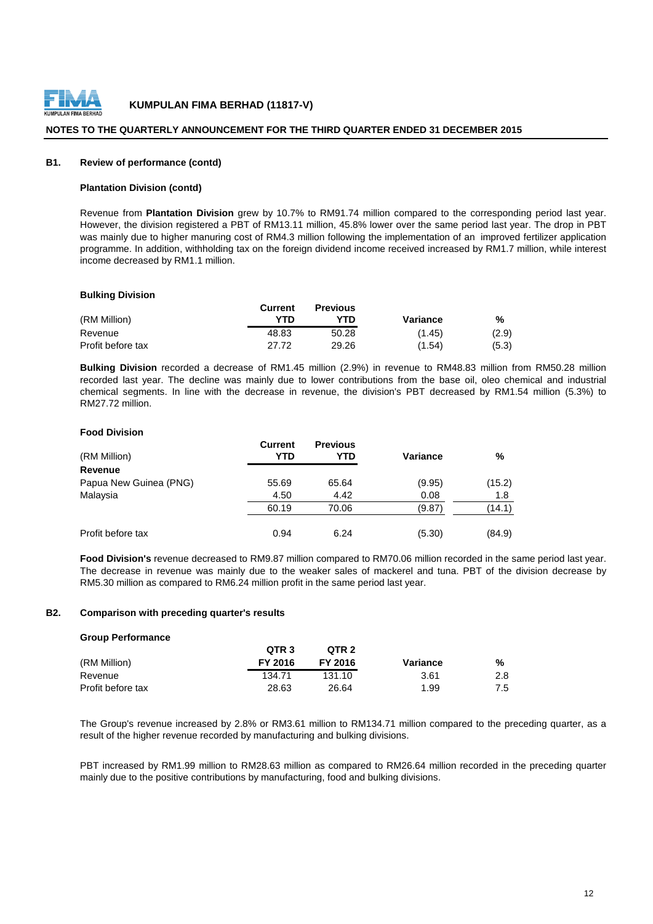

#### **NOTES TO THE QUARTERLY ANNOUNCEMENT FOR THE THIRD QUARTER ENDED 31 DECEMBER 2015**

#### **B1. Review of performance (contd)**

#### **Plantation Division (contd)**

Revenue from **Plantation Division** grew by 10.7% to RM91.74 million compared to the corresponding period last year. However, the division registered a PBT of RM13.11 million, 45.8% lower over the same period last year. The drop in PBT was mainly due to higher manuring cost of RM4.3 million following the implementation of an improved fertilizer application programme. In addition, withholding tax on the foreign dividend income received increased by RM1.7 million, while interest income decreased by RM1.1 million.

#### **Bulking Division**

|                   | Current | <b>Previous</b> |          |       |
|-------------------|---------|-----------------|----------|-------|
| (RM Million)      | YTD     | YTD             | Variance | %     |
| Revenue           | 48.83   | 50.28           | (1.45)   | (2.9) |
| Profit before tax | 27.72   | 29.26           | (1.54)   | (5.3) |

**Bulking Division** recorded a decrease of RM1.45 million (2.9%) in revenue to RM48.83 million from RM50.28 million recorded last year. The decline was mainly due to lower contributions from the base oil, oleo chemical and industrial chemical segments. In line with the decrease in revenue, the division's PBT decreased by RM1.54 million (5.3%) to RM27.72 million.

#### **Food Division**

| (RM Million)           | <b>Current</b><br>YTD | <b>Previous</b><br>YTD | <b>Variance</b> | %      |
|------------------------|-----------------------|------------------------|-----------------|--------|
| Revenue                |                       |                        |                 |        |
| Papua New Guinea (PNG) | 55.69                 | 65.64                  | (9.95)          | (15.2) |
| Malaysia               | 4.50                  | 4.42                   | 0.08            | 1.8    |
|                        | 60.19                 | 70.06                  | (9.87)          | (14.1) |
| Profit before tax      | 0.94                  | 6.24                   | (5.30)          | (84.9) |

**Food Division's** revenue decreased to RM9.87 million compared to RM70.06 million recorded in the same period last year. The decrease in revenue was mainly due to the weaker sales of mackerel and tuna. PBT of the division decrease by RM5.30 million as compared to RM6.24 million profit in the same period last year.

#### **B2. Comparison with preceding quarter's results**

| <b>Group Performance</b> |                  |         |          |     |
|--------------------------|------------------|---------|----------|-----|
|                          | OTR <sub>3</sub> | QTR 2   |          |     |
| (RM Million)             | FY 2016          | FY 2016 | Variance | %   |
| Revenue                  | 134.71           | 131.10  | 3.61     | 2.8 |
| Profit before tax        | 28.63            | 26.64   | 1.99     | 7.5 |

The Group's revenue increased by 2.8% or RM3.61 million to RM134.71 million compared to the preceding quarter, as a result of the higher revenue recorded by manufacturing and bulking divisions.

PBT increased by RM1.99 million to RM28.63 million as compared to RM26.64 million recorded in the preceding quarter mainly due to the positive contributions by manufacturing, food and bulking divisions.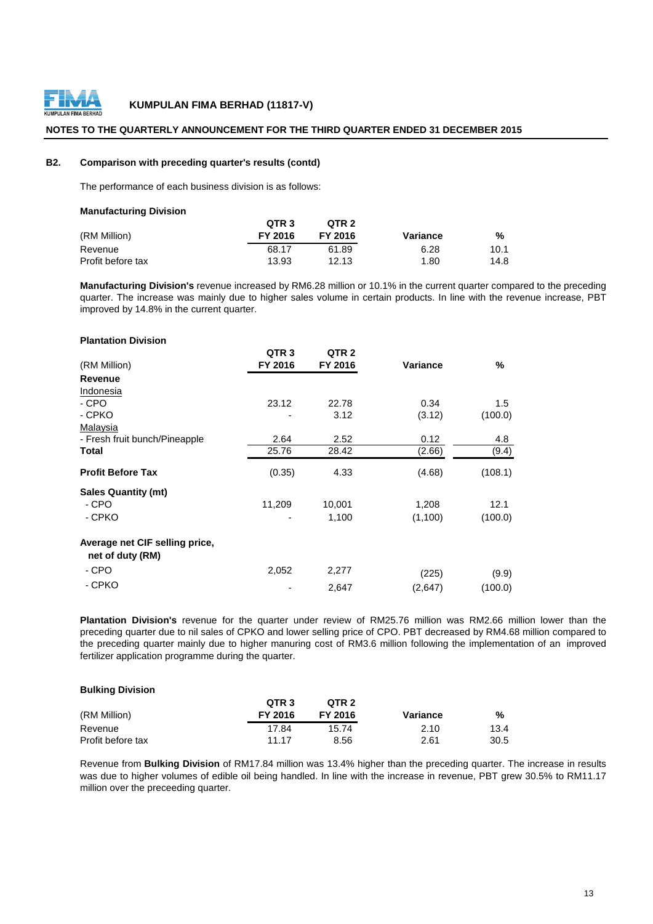

#### **NOTES TO THE QUARTERLY ANNOUNCEMENT FOR THE THIRD QUARTER ENDED 31 DECEMBER 2015**

#### **B2. Comparison with preceding quarter's results (contd)**

The performance of each business division is as follows:

| <b>Manufacturing Division</b> |                  |                  |          |      |
|-------------------------------|------------------|------------------|----------|------|
|                               | QTR <sub>3</sub> | OTR <sub>2</sub> |          |      |
| (RM Million)                  | FY 2016          | FY 2016          | Variance | %    |
| Revenue                       | 68.17            | 61.89            | 6.28     | 10.1 |
| Profit before tax             | 13.93            | 12.13            | 1.80     | 14.8 |

**Manufacturing Division's** revenue increased by RM6.28 million or 10.1% in the current quarter compared to the preceding quarter. The increase was mainly due to higher sales volume in certain products. In line with the revenue increase, PBT improved by 14.8% in the current quarter.

#### **Plantation Division**

|                                | QTR <sub>3</sub> | QTR <sub>2</sub> |          |         |
|--------------------------------|------------------|------------------|----------|---------|
| (RM Million)                   | FY 2016          | FY 2016          | Variance | %       |
| Revenue                        |                  |                  |          |         |
| Indonesia                      |                  |                  |          |         |
| - CPO                          | 23.12            | 22.78            | 0.34     | 1.5     |
| - CPKO                         |                  | 3.12             | (3.12)   | (100.0) |
| Malaysia                       |                  |                  |          |         |
| - Fresh fruit bunch/Pineapple  | 2.64             | 2.52             | 0.12     | 4.8     |
| Total                          | 25.76            | 28.42            | (2.66)   | (9.4)   |
| <b>Profit Before Tax</b>       | (0.35)           | 4.33             | (4.68)   | (108.1) |
| <b>Sales Quantity (mt)</b>     |                  |                  |          |         |
| - CPO                          | 11,209           | 10,001           | 1,208    | 12.1    |
| - CPKO                         |                  | 1,100            | (1,100)  | (100.0) |
| Average net CIF selling price, |                  |                  |          |         |
| net of duty (RM)               |                  |                  |          |         |
| - CPO                          | 2,052            | 2,277            | (225)    | (9.9)   |
| - CPKO                         |                  | 2,647            | (2,647)  | (100.0) |

**Plantation Division's** revenue for the quarter under review of RM25.76 million was RM2.66 million lower than the preceding quarter due to nil sales of CPKO and lower selling price of CPO. PBT decreased by RM4.68 million compared to the preceding quarter mainly due to higher manuring cost of RM3.6 million following the implementation of an improved fertilizer application programme during the quarter.

#### **QTR 3 QTR 2** (RM Million) **FY 2016 FY 2016 Variance %**  Revenue 17.84 15.74 2.10 13.4 Profit before tax 11.17 8.56 2.61 30.5 **Bulking Division**

Revenue from **Bulking Division** of RM17.84 million was 13.4% higher than the preceding quarter. The increase in results was due to higher volumes of edible oil being handled. In line with the increase in revenue, PBT grew 30.5% to RM11.17 million over the preceeding quarter.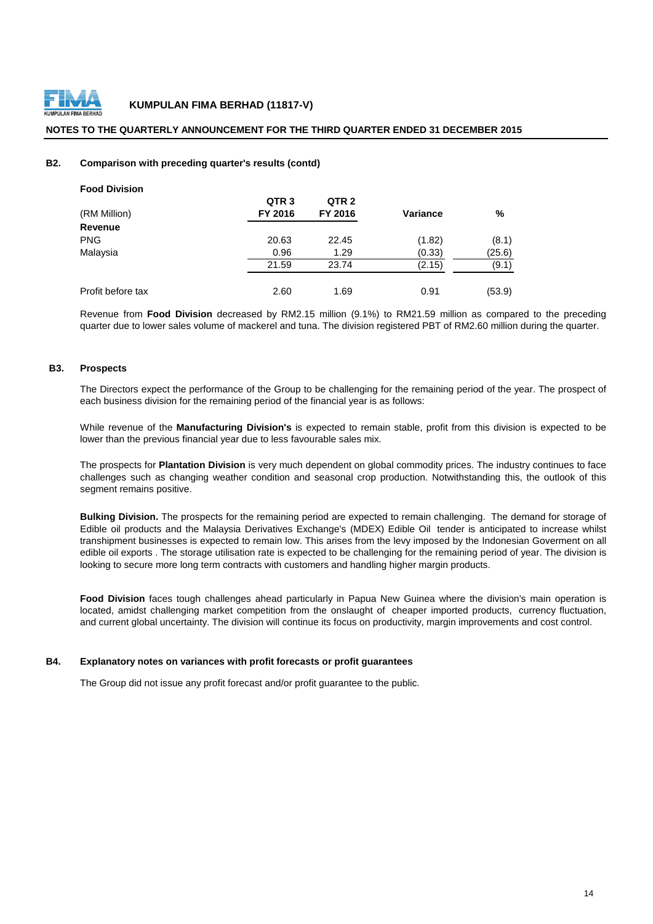

#### **NOTES TO THE QUARTERLY ANNOUNCEMENT FOR THE THIRD QUARTER ENDED 31 DECEMBER 2015**

#### **B2. Comparison with preceding quarter's results (contd)**

| <b>Food Division</b> |                  |                  |                 |        |
|----------------------|------------------|------------------|-----------------|--------|
|                      | QTR <sub>3</sub> | QTR <sub>2</sub> |                 |        |
| (RM Million)         | FY 2016          | FY 2016          | <b>Variance</b> | %      |
| Revenue              |                  |                  |                 |        |
| <b>PNG</b>           | 20.63            | 22.45            | (1.82)          | (8.1)  |
| Malaysia             | 0.96             | 1.29             | (0.33)          | (25.6) |
|                      | 21.59            | 23.74            | (2.15)          | (9.1)  |
| Profit before tax    | 2.60             | 1.69             | 0.91            | (53.9) |

Revenue from **Food Division** decreased by RM2.15 million (9.1%) to RM21.59 million as compared to the preceding quarter due to lower sales volume of mackerel and tuna. The division registered PBT of RM2.60 million during the quarter.

#### **B3. Prospects**

The Directors expect the performance of the Group to be challenging for the remaining period of the year. The prospect of each business division for the remaining period of the financial year is as follows:

While revenue of the **Manufacturing Division's** is expected to remain stable, profit from this division is expected to be lower than the previous financial year due to less favourable sales mix.

The prospects for **Plantation Division** is very much dependent on global commodity prices. The industry continues to face challenges such as changing weather condition and seasonal crop production. Notwithstanding this, the outlook of this segment remains positive.

**Bulking Division.** The prospects for the remaining period are expected to remain challenging. The demand for storage of Edible oil products and the Malaysia Derivatives Exchange's (MDEX) Edible Oil tender is anticipated to increase whilst transhipment businesses is expected to remain low. This arises from the levy imposed by the Indonesian Goverment on all edible oil exports . The storage utilisation rate is expected to be challenging for the remaining period of year. The division is looking to secure more long term contracts with customers and handling higher margin products.

**Food Division** faces tough challenges ahead particularly in Papua New Guinea where the division's main operation is located, amidst challenging market competition from the onslaught of cheaper imported products, currency fluctuation, and current global uncertainty. The division will continue its focus on productivity, margin improvements and cost control.

#### **B4. Explanatory notes on variances with profit forecasts or profit guarantees**

The Group did not issue any profit forecast and/or profit guarantee to the public.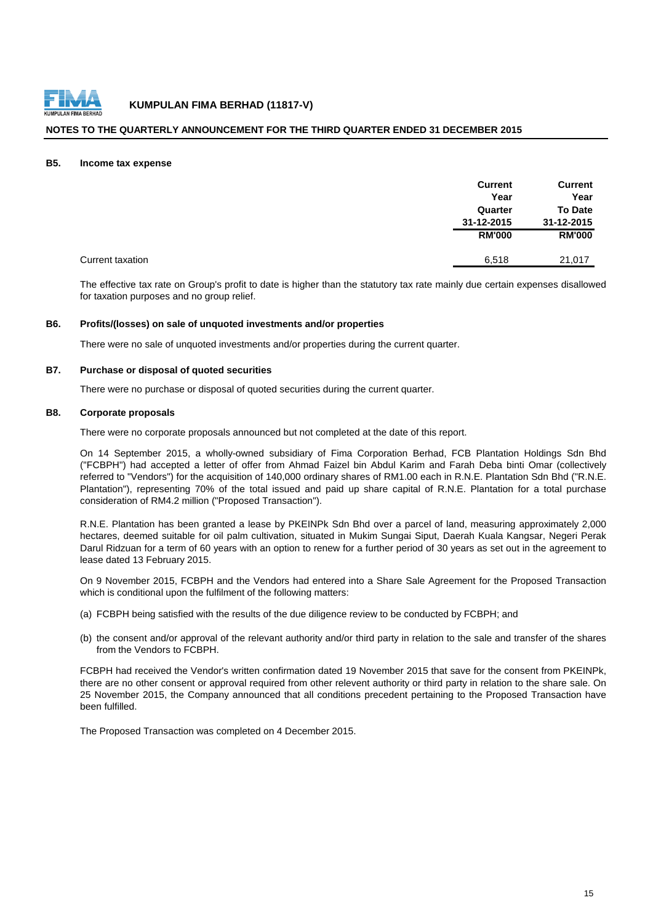

#### **NOTES TO THE QUARTERLY ANNOUNCEMENT FOR THE THIRD QUARTER ENDED 31 DECEMBER 2015**

#### **B5. Income tax expense**

|                  | <b>Current</b> | <b>Current</b> |
|------------------|----------------|----------------|
|                  | Year           | Year           |
|                  | Quarter        | <b>To Date</b> |
|                  | 31-12-2015     | 31-12-2015     |
|                  | <b>RM'000</b>  | <b>RM'000</b>  |
| Current taxation | 6,518          | 21,017         |

The effective tax rate on Group's profit to date is higher than the statutory tax rate mainly due certain expenses disallowed for taxation purposes and no group relief.

#### **B6. Profits/(losses) on sale of unquoted investments and/or properties**

There were no sale of unquoted investments and/or properties during the current quarter.

#### **B7. Purchase or disposal of quoted securities**

There were no purchase or disposal of quoted securities during the current quarter.

#### **B8. Corporate proposals**

There were no corporate proposals announced but not completed at the date of this report.

On 14 September 2015, a wholly-owned subsidiary of Fima Corporation Berhad, FCB Plantation Holdings Sdn Bhd ("FCBPH") had accepted a letter of offer from Ahmad Faizel bin Abdul Karim and Farah Deba binti Omar (collectively referred to "Vendors") for the acquisition of 140,000 ordinary shares of RM1.00 each in R.N.E. Plantation Sdn Bhd ("R.N.E. Plantation"), representing 70% of the total issued and paid up share capital of R.N.E. Plantation for a total purchase consideration of RM4.2 million ("Proposed Transaction").

R.N.E. Plantation has been granted a lease by PKEINPk Sdn Bhd over a parcel of land, measuring approximately 2,000 hectares, deemed suitable for oil palm cultivation, situated in Mukim Sungai Siput, Daerah Kuala Kangsar, Negeri Perak Darul Ridzuan for a term of 60 years with an option to renew for a further period of 30 years as set out in the agreement to lease dated 13 February 2015.

On 9 November 2015, FCBPH and the Vendors had entered into a Share Sale Agreement for the Proposed Transaction which is conditional upon the fulfilment of the following matters:

- (a) FCBPH being satisfied with the results of the due diligence review to be conducted by FCBPH; and
- (b) the consent and/or approval of the relevant authority and/or third party in relation to the sale and transfer of the shares from the Vendors to FCBPH.

FCBPH had received the Vendor's written confirmation dated 19 November 2015 that save for the consent from PKEINPk, there are no other consent or approval required from other relevent authority or third party in relation to the share sale. On 25 November 2015, the Company announced that all conditions precedent pertaining to the Proposed Transaction have been fulfilled.

The Proposed Transaction was completed on 4 December 2015.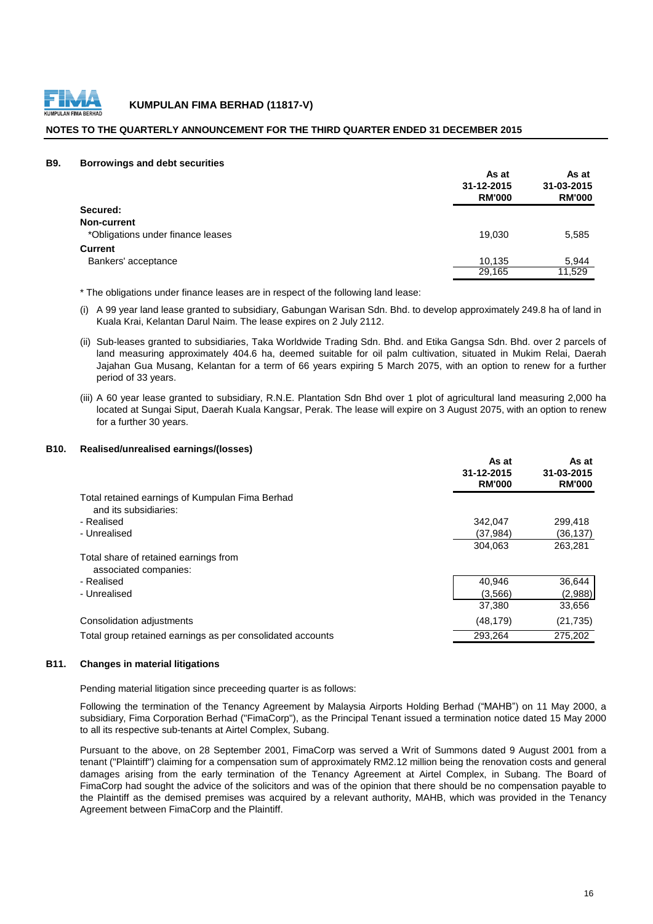

#### **NOTES TO THE QUARTERLY ANNOUNCEMENT FOR THE THIRD QUARTER ENDED 31 DECEMBER 2015**

#### **B9. Borrowings and debt securities**

|                                   | As at<br>31-12-2015<br><b>RM'000</b> | As at<br>31-03-2015<br><b>RM'000</b> |
|-----------------------------------|--------------------------------------|--------------------------------------|
| Secured:                          |                                      |                                      |
| Non-current                       |                                      |                                      |
| *Obligations under finance leases | 19,030                               | 5,585                                |
| <b>Current</b>                    |                                      |                                      |
| Bankers' acceptance               | 10,135                               | 5,944                                |
|                                   | 29,165                               | 11,529                               |

\* The obligations under finance leases are in respect of the following land lease:

- (i) A 99 year land lease granted to subsidiary, Gabungan Warisan Sdn. Bhd. to develop approximately 249.8 ha of land in Kuala Krai, Kelantan Darul Naim. The lease expires on 2 July 2112.
- (ii) Sub-leases granted to subsidiaries, Taka Worldwide Trading Sdn. Bhd. and Etika Gangsa Sdn. Bhd. over 2 parcels of land measuring approximately 404.6 ha, deemed suitable for oil palm cultivation, situated in Mukim Relai, Daerah Jajahan Gua Musang, Kelantan for a term of 66 years expiring 5 March 2075, with an option to renew for a further period of 33 years.
- (iii) A 60 year lease granted to subsidiary, R.N.E. Plantation Sdn Bhd over 1 plot of agricultural land measuring 2,000 ha located at Sungai Siput, Daerah Kuala Kangsar, Perak. The lease will expire on 3 August 2075, with an option to renew for a further 30 years.

#### **B10. Realised/unrealised earnings/(losses)**

|                                                                          | As at<br>31-12-2015<br><b>RM'000</b> | As at<br>31-03-2015<br><b>RM'000</b> |
|--------------------------------------------------------------------------|--------------------------------------|--------------------------------------|
| Total retained earnings of Kumpulan Fima Berhad<br>and its subsidiaries: |                                      |                                      |
| - Realised                                                               | 342.047                              | 299.418                              |
| - Unrealised                                                             | (37, 984)                            | (36,137)                             |
|                                                                          | 304,063                              | 263.281                              |
| Total share of retained earnings from<br>associated companies:           |                                      |                                      |
| - Realised                                                               | 40.946                               | 36,644                               |
| - Unrealised                                                             | (3.566)                              | (2,988)                              |
|                                                                          | 37,380                               | 33,656                               |
| Consolidation adjustments                                                | (48, 179)                            | (21, 735)                            |
| Total group retained earnings as per consolidated accounts               | 293.264                              | 275.202                              |

#### **B11. Changes in material litigations**

Pending material litigation since preceeding quarter is as follows:

Following the termination of the Tenancy Agreement by Malaysia Airports Holding Berhad ("MAHB") on 11 May 2000, a subsidiary, Fima Corporation Berhad ("FimaCorp"), as the Principal Tenant issued a termination notice dated 15 May 2000 to all its respective sub-tenants at Airtel Complex, Subang.

Pursuant to the above, on 28 September 2001, FimaCorp was served a Writ of Summons dated 9 August 2001 from a tenant ("Plaintiff") claiming for a compensation sum of approximately RM2.12 million being the renovation costs and general damages arising from the early termination of the Tenancy Agreement at Airtel Complex, in Subang. The Board of FimaCorp had sought the advice of the solicitors and was of the opinion that there should be no compensation payable to the Plaintiff as the demised premises was acquired by a relevant authority, MAHB, which was provided in the Tenancy Agreement between FimaCorp and the Plaintiff.